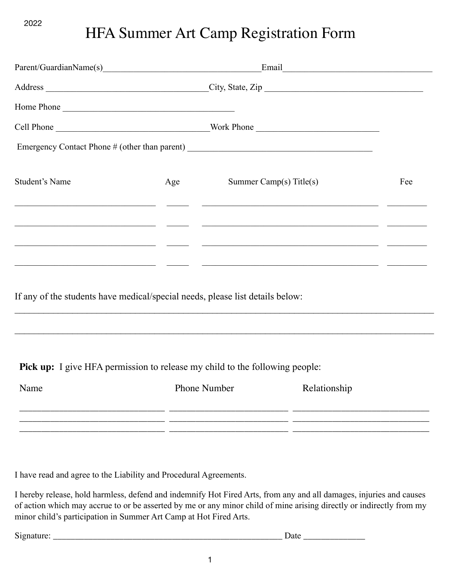2022

## HFA Summer Art Camp Registration Form

|                                                                                                                       | Address City, State, Zip |                                                                                                                      |     |
|-----------------------------------------------------------------------------------------------------------------------|--------------------------|----------------------------------------------------------------------------------------------------------------------|-----|
| Home Phone                                                                                                            |                          |                                                                                                                      |     |
|                                                                                                                       |                          |                                                                                                                      |     |
|                                                                                                                       |                          | Emergency Contact Phone # (other than parent) ___________________________________                                    |     |
| <b>Student's Name</b>                                                                                                 | Age                      | Summer Camp(s) Title(s)                                                                                              | Fee |
| <u> 1989 - Johann John Stein, mars an deutscher Stein († 1908)</u><br><u> 1989 - Jan Salaman Salaman (j. 1989)</u>    |                          | <u> 1990 - Jan James James James James James James James James James James James James James James James James J</u> |     |
| <u> 1989 - Johann John Stein, fransk politik (f. 1982)</u>                                                            |                          | <u> 1990 - Jan James James James James James James James James James James James James James James James James J</u> |     |
| <u> 1989 - Johann Barbara, martin amerikan basal dan berasal dalam basal dalam basal dalam basal dalam basal dala</u> |                          |                                                                                                                      |     |
| If any of the students have medical/special needs, please list details below:                                         |                          |                                                                                                                      |     |
|                                                                                                                       |                          |                                                                                                                      |     |
|                                                                                                                       |                          |                                                                                                                      |     |
|                                                                                                                       |                          | Pick up: I give HFA permission to release my child to the following people:                                          |     |
| Name                                                                                                                  | <b>Phone Number</b>      | Relationship                                                                                                         |     |
|                                                                                                                       |                          |                                                                                                                      |     |
|                                                                                                                       | $ -$                     | <u> 1999 - Johann John Harry, amerikan bernama (j. 1989)</u><br>$ -$                                                 |     |

I have read and agree to the Liability and Procedural Agreements.

I hereby release, hold harmless, defend and indemnify Hot Fired Arts, from any and all damages, injuries and causes of action which may accrue to or be asserted by me or any minor child of mine arising directly or indirectly from my minor child's participation in Summer Art Camp at Hot Fired Arts.

Signature: \_\_\_\_\_\_\_\_\_\_\_\_\_\_\_\_\_\_\_\_\_\_\_\_\_\_\_\_\_\_\_\_\_\_\_\_\_\_\_\_\_\_\_\_\_\_\_\_\_\_\_\_ Date \_\_\_\_\_\_\_\_\_\_\_\_\_\_